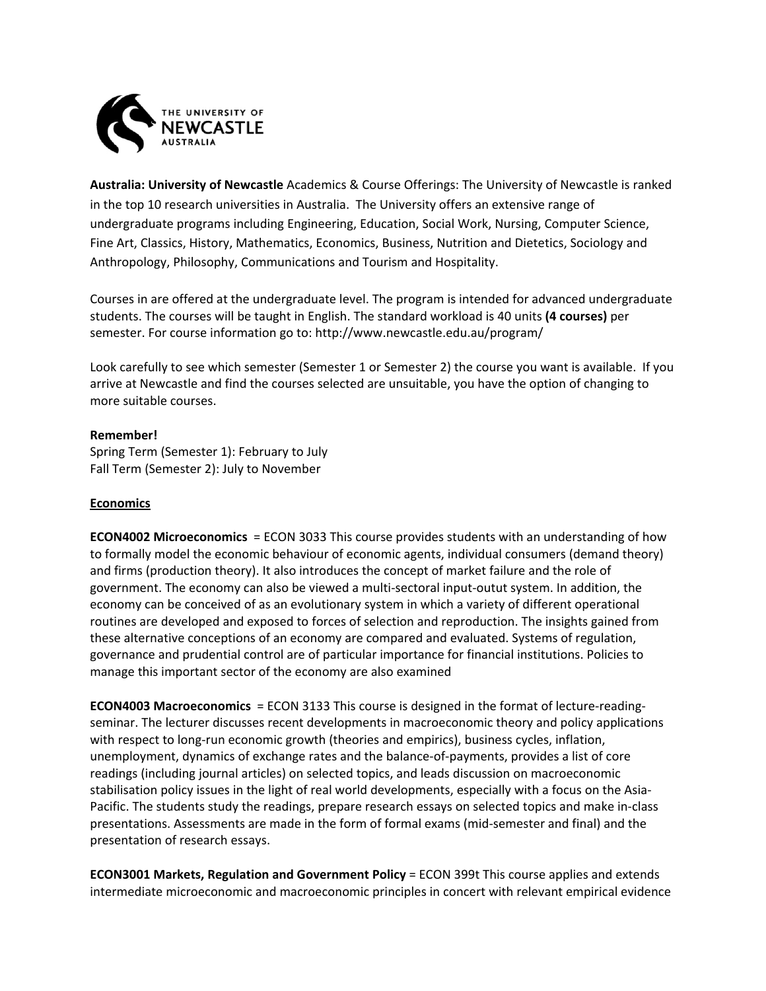

**Australia: University of Newcastle** Academics & Course Offerings: The University of Newcastle is ranked in the top 10 research universities in Australia. The University offers an extensive range of undergraduate programs including Engineering, Education, Social Work, Nursing, Computer Science, Fine Art, Classics, History, Mathematics, Economics, Business, Nutrition and Dietetics, Sociology and Anthropology, Philosophy, Communications and Tourism and Hospitality.

Courses in are offered at the undergraduate level. The program is intended for advanced undergraduate students. The courses will be taught in English. The standard workload is 40 units **(4 courses)** per semester. For course information go to: http://www.newcastle.edu.au/program/

Look carefully to see which semester (Semester 1 or Semester 2) the course you want is available. If you arrive at Newcastle and find the courses selected are unsuitable, you have the option of changing to more suitable courses.

### **Remember!**

Spring Term (Semester 1): February to July Fall Term (Semester 2): July to November

## **Economics**

**ECON4002 Microeconomics** = ECON 3033 This course provides students with an understanding of how to formally model the economic behaviour of economic agents, individual consumers (demand theory) and firms (production theory). It also introduces the concept of market failure and the role of government. The economy can also be viewed a multi‐sectoral input‐outut system. In addition, the economy can be conceived of as an evolutionary system in which a variety of different operational routines are developed and exposed to forces of selection and reproduction. The insights gained from these alternative conceptions of an economy are compared and evaluated. Systems of regulation, governance and prudential control are of particular importance for financial institutions. Policies to manage this important sector of the economy are also examined

**ECON4003 Macroeconomics** = ECON 3133 This course is designed in the format of lecture-readingseminar. The lecturer discusses recent developments in macroeconomic theory and policy applications with respect to long-run economic growth (theories and empirics), business cycles, inflation, unemployment, dynamics of exchange rates and the balance‐of‐payments, provides a list of core readings (including journal articles) on selected topics, and leads discussion on macroeconomic stabilisation policy issues in the light of real world developments, especially with a focus on the Asia‐ Pacific. The students study the readings, prepare research essays on selected topics and make in‐class presentations. Assessments are made in the form of formal exams (mid‐semester and final) and the presentation of research essays.

**ECON3001 Markets, Regulation and Government Policy** = ECON 399t This course applies and extends intermediate microeconomic and macroeconomic principles in concert with relevant empirical evidence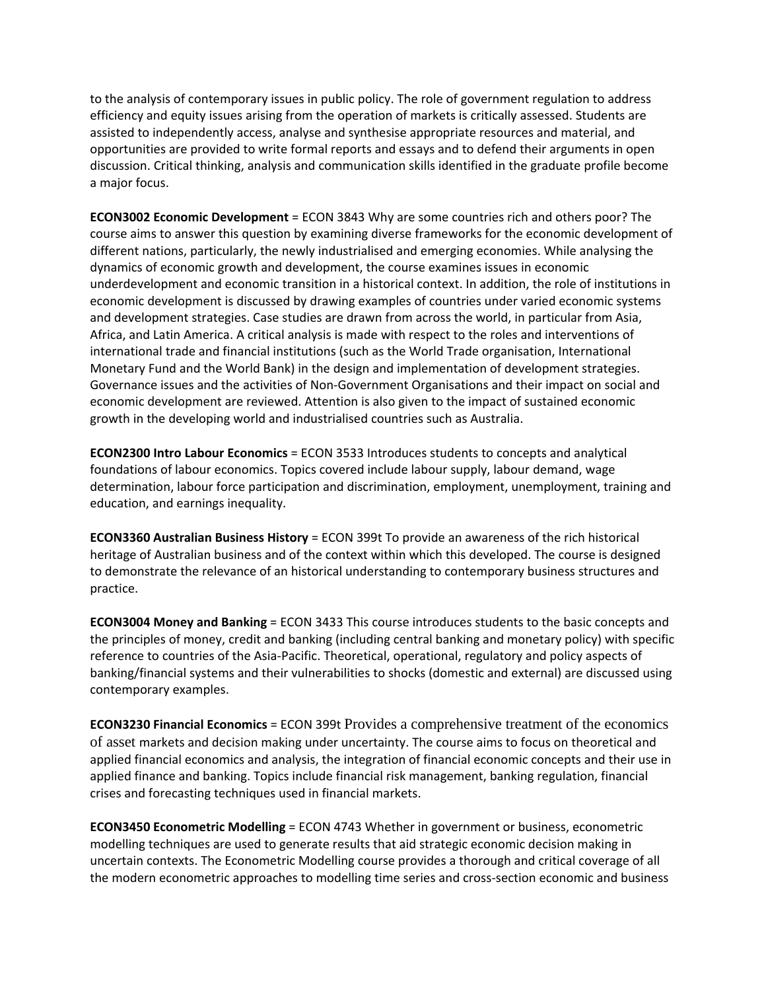to the analysis of contemporary issues in public policy. The role of government regulation to address efficiency and equity issues arising from the operation of markets is critically assessed. Students are assisted to independently access, analyse and synthesise appropriate resources and material, and opportunities are provided to write formal reports and essays and to defend their arguments in open discussion. Critical thinking, analysis and communication skills identified in the graduate profile become a major focus.

**ECON3002 Economic Development** = ECON 3843 Why are some countries rich and others poor? The course aims to answer this question by examining diverse frameworks for the economic development of different nations, particularly, the newly industrialised and emerging economies. While analysing the dynamics of economic growth and development, the course examines issues in economic underdevelopment and economic transition in a historical context. In addition, the role of institutions in economic development is discussed by drawing examples of countries under varied economic systems and development strategies. Case studies are drawn from across the world, in particular from Asia, Africa, and Latin America. A critical analysis is made with respect to the roles and interventions of international trade and financial institutions (such as the World Trade organisation, International Monetary Fund and the World Bank) in the design and implementation of development strategies. Governance issues and the activities of Non‐Government Organisations and their impact on social and economic development are reviewed. Attention is also given to the impact of sustained economic growth in the developing world and industrialised countries such as Australia.

**ECON2300 Intro Labour Economics** = ECON 3533 Introduces students to concepts and analytical foundations of labour economics. Topics covered include labour supply, labour demand, wage determination, labour force participation and discrimination, employment, unemployment, training and education, and earnings inequality.

**ECON3360 Australian Business History** = ECON 399t To provide an awareness of the rich historical heritage of Australian business and of the context within which this developed. The course is designed to demonstrate the relevance of an historical understanding to contemporary business structures and practice.

**ECON3004 Money and Banking** = ECON 3433 This course introduces students to the basic concepts and the principles of money, credit and banking (including central banking and monetary policy) with specific reference to countries of the Asia‐Pacific. Theoretical, operational, regulatory and policy aspects of banking/financial systems and their vulnerabilities to shocks (domestic and external) are discussed using contemporary examples.

**ECON3230 Financial Economics** = ECON 399t Provides a comprehensive treatment of the economics of asset markets and decision making under uncertainty. The course aims to focus on theoretical and applied financial economics and analysis, the integration of financial economic concepts and their use in applied finance and banking. Topics include financial risk management, banking regulation, financial crises and forecasting techniques used in financial markets.

**ECON3450 Econometric Modelling** = ECON 4743 Whether in government or business, econometric modelling techniques are used to generate results that aid strategic economic decision making in uncertain contexts. The Econometric Modelling course provides a thorough and critical coverage of all the modern econometric approaches to modelling time series and cross-section economic and business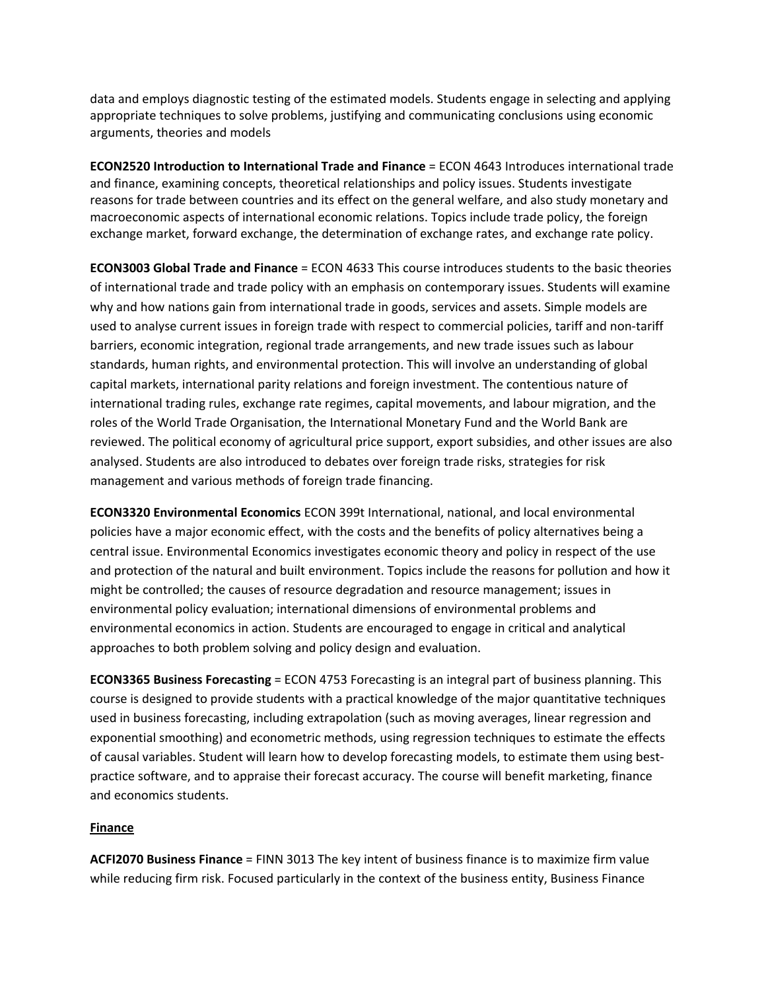data and employs diagnostic testing of the estimated models. Students engage in selecting and applying appropriate techniques to solve problems, justifying and communicating conclusions using economic arguments, theories and models

**ECON2520 Introduction to International Trade and Finance** = ECON 4643 Introduces international trade and finance, examining concepts, theoretical relationships and policy issues. Students investigate reasons for trade between countries and its effect on the general welfare, and also study monetary and macroeconomic aspects of international economic relations. Topics include trade policy, the foreign exchange market, forward exchange, the determination of exchange rates, and exchange rate policy.

**ECON3003 Global Trade and Finance** = ECON 4633 This course introduces students to the basic theories of international trade and trade policy with an emphasis on contemporary issues. Students will examine why and how nations gain from international trade in goods, services and assets. Simple models are used to analyse current issues in foreign trade with respect to commercial policies, tariff and non‐tariff barriers, economic integration, regional trade arrangements, and new trade issues such as labour standards, human rights, and environmental protection. This will involve an understanding of global capital markets, international parity relations and foreign investment. The contentious nature of international trading rules, exchange rate regimes, capital movements, and labour migration, and the roles of the World Trade Organisation, the International Monetary Fund and the World Bank are reviewed. The political economy of agricultural price support, export subsidies, and other issues are also analysed. Students are also introduced to debates over foreign trade risks, strategies for risk management and various methods of foreign trade financing.

**ECON3320 Environmental Economics** ECON 399t International, national, and local environmental policies have a major economic effect, with the costs and the benefits of policy alternatives being a central issue. Environmental Economics investigates economic theory and policy in respect of the use and protection of the natural and built environment. Topics include the reasons for pollution and how it might be controlled; the causes of resource degradation and resource management; issues in environmental policy evaluation; international dimensions of environmental problems and environmental economics in action. Students are encouraged to engage in critical and analytical approaches to both problem solving and policy design and evaluation.

**ECON3365 Business Forecasting** = ECON 4753 Forecasting is an integral part of business planning. This course is designed to provide students with a practical knowledge of the major quantitative techniques used in business forecasting, including extrapolation (such as moving averages, linear regression and exponential smoothing) and econometric methods, using regression techniques to estimate the effects of causal variables. Student will learn how to develop forecasting models, to estimate them using best‐ practice software, and to appraise their forecast accuracy. The course will benefit marketing, finance and economics students.

## **Finance**

**ACFI2070 Business Finance** = FINN 3013 The key intent of business finance is to maximize firm value while reducing firm risk. Focused particularly in the context of the business entity, Business Finance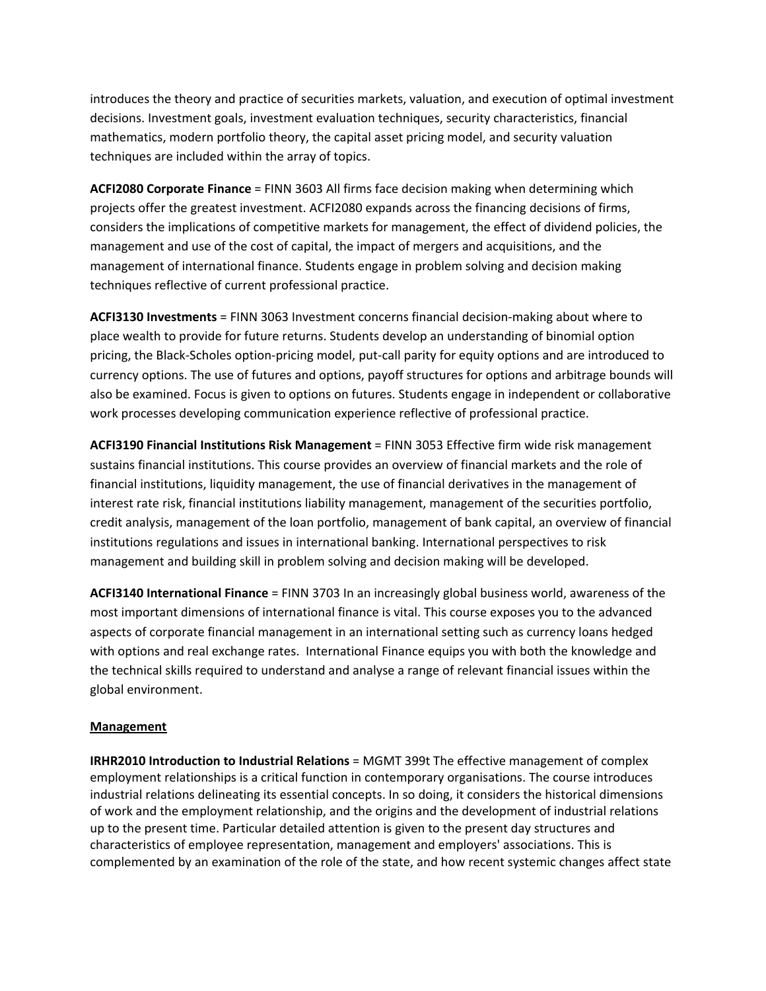introduces the theory and practice of securities markets, valuation, and execution of optimal investment decisions. Investment goals, investment evaluation techniques, security characteristics, financial mathematics, modern portfolio theory, the capital asset pricing model, and security valuation techniques are included within the array of topics.

**ACFI2080 Corporate Finance** = FINN 3603 All firms face decision making when determining which projects offer the greatest investment. ACFI2080 expands across the financing decisions of firms, considers the implications of competitive markets for management, the effect of dividend policies, the management and use of the cost of capital, the impact of mergers and acquisitions, and the management of international finance. Students engage in problem solving and decision making techniques reflective of current professional practice.

**ACFI3130 Investments** = FINN 3063 Investment concerns financial decision‐making about where to place wealth to provide for future returns. Students develop an understanding of binomial option pricing, the Black‐Scholes option‐pricing model, put‐call parity for equity options and are introduced to currency options. The use of futures and options, payoff structures for options and arbitrage bounds will also be examined. Focus is given to options on futures. Students engage in independent or collaborative work processes developing communication experience reflective of professional practice.

**ACFI3190 Financial Institutions Risk Management** = FINN 3053 Effective firm wide risk management sustains financial institutions. This course provides an overview of financial markets and the role of financial institutions, liquidity management, the use of financial derivatives in the management of interest rate risk, financial institutions liability management, management of the securities portfolio, credit analysis, management of the loan portfolio, management of bank capital, an overview of financial institutions regulations and issues in international banking. International perspectives to risk management and building skill in problem solving and decision making will be developed.

**ACFI3140 International Finance** = FINN 3703 In an increasingly global business world, awareness of the most important dimensions of international finance is vital. This course exposes you to the advanced aspects of corporate financial management in an international setting such as currency loans hedged with options and real exchange rates. International Finance equips you with both the knowledge and the technical skills required to understand and analyse a range of relevant financial issues within the global environment.

## **Management**

**IRHR2010 Introduction to Industrial Relations** = MGMT 399t The effective management of complex employment relationships is a critical function in contemporary organisations. The course introduces industrial relations delineating its essential concepts. In so doing, it considers the historical dimensions of work and the employment relationship, and the origins and the development of industrial relations up to the present time. Particular detailed attention is given to the present day structures and characteristics of employee representation, management and employers' associations. This is complemented by an examination of the role of the state, and how recent systemic changes affect state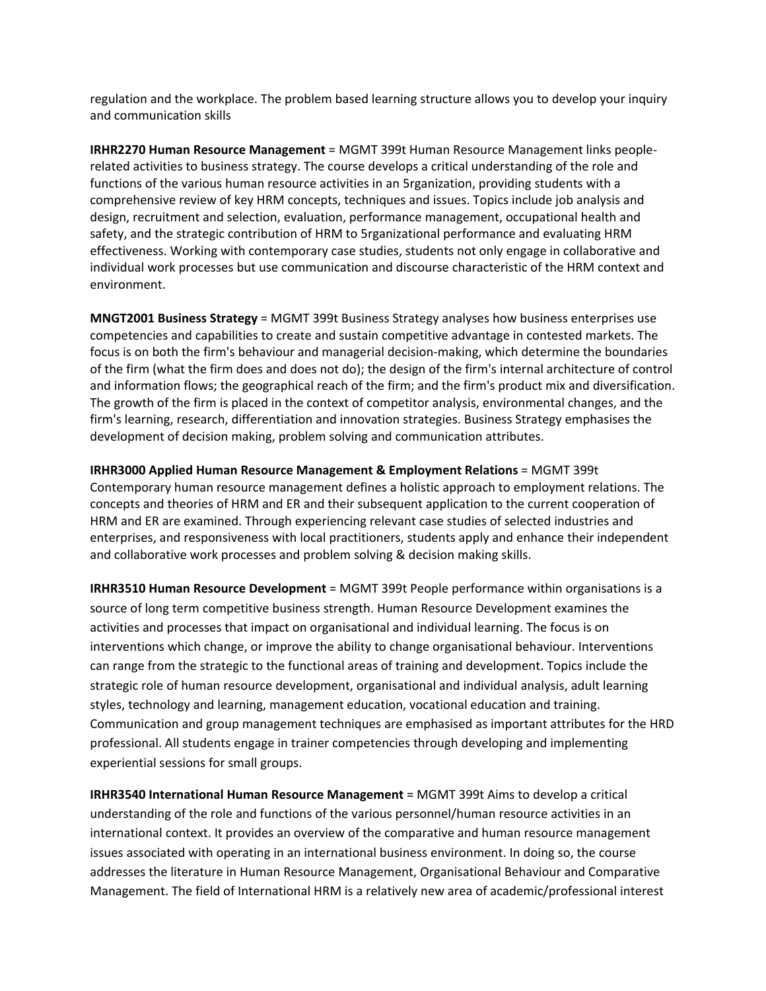regulation and the workplace. The problem based learning structure allows you to develop your inquiry and communication skills

**IRHR2270 Human Resource Management** = MGMT 399t Human Resource Management links people‐ related activities to business strategy. The course develops a critical understanding of the role and functions of the various human resource activities in an 5rganization, providing students with a comprehensive review of key HRM concepts, techniques and issues. Topics include job analysis and design, recruitment and selection, evaluation, performance management, occupational health and safety, and the strategic contribution of HRM to 5rganizational performance and evaluating HRM effectiveness. Working with contemporary case studies, students not only engage in collaborative and individual work processes but use communication and discourse characteristic of the HRM context and environment.

**MNGT2001 Business Strategy** = MGMT 399t Business Strategy analyses how business enterprises use competencies and capabilities to create and sustain competitive advantage in contested markets. The focus is on both the firm's behaviour and managerial decision‐making, which determine the boundaries of the firm (what the firm does and does not do); the design of the firm's internal architecture of control and information flows; the geographical reach of the firm; and the firm's product mix and diversification. The growth of the firm is placed in the context of competitor analysis, environmental changes, and the firm's learning, research, differentiation and innovation strategies. Business Strategy emphasises the development of decision making, problem solving and communication attributes.

**IRHR3000 Applied Human Resource Management & Employment Relations** = MGMT 399t Contemporary human resource management defines a holistic approach to employment relations. The concepts and theories of HRM and ER and their subsequent application to the current cooperation of HRM and ER are examined. Through experiencing relevant case studies of selected industries and enterprises, and responsiveness with local practitioners, students apply and enhance their independent and collaborative work processes and problem solving & decision making skills.

**IRHR3510 Human Resource Development** = MGMT 399t People performance within organisations is a source of long term competitive business strength. Human Resource Development examines the activities and processes that impact on organisational and individual learning. The focus is on interventions which change, or improve the ability to change organisational behaviour. Interventions can range from the strategic to the functional areas of training and development. Topics include the strategic role of human resource development, organisational and individual analysis, adult learning styles, technology and learning, management education, vocational education and training. Communication and group management techniques are emphasised as important attributes for the HRD professional. All students engage in trainer competencies through developing and implementing experiential sessions for small groups.

**IRHR3540 International Human Resource Management** = MGMT 399t Aims to develop a critical understanding of the role and functions of the various personnel/human resource activities in an international context. It provides an overview of the comparative and human resource management issues associated with operating in an international business environment. In doing so, the course addresses the literature in Human Resource Management, Organisational Behaviour and Comparative Management. The field of International HRM is a relatively new area of academic/professional interest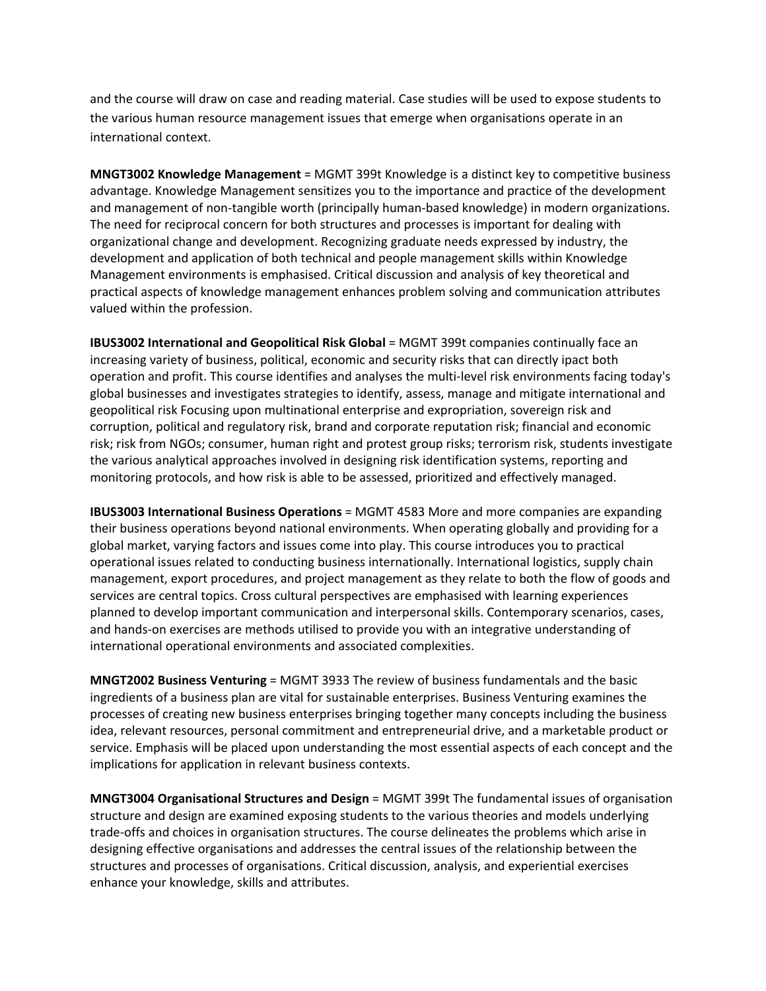and the course will draw on case and reading material. Case studies will be used to expose students to the various human resource management issues that emerge when organisations operate in an international context.

**MNGT3002 Knowledge Management** = MGMT 399t Knowledge is a distinct key to competitive business advantage. Knowledge Management sensitizes you to the importance and practice of the development and management of non-tangible worth (principally human-based knowledge) in modern organizations. The need for reciprocal concern for both structures and processes is important for dealing with organizational change and development. Recognizing graduate needs expressed by industry, the development and application of both technical and people management skills within Knowledge Management environments is emphasised. Critical discussion and analysis of key theoretical and practical aspects of knowledge management enhances problem solving and communication attributes valued within the profession.

**IBUS3002 International and Geopolitical Risk Global** = MGMT 399t companies continually face an increasing variety of business, political, economic and security risks that can directly ipact both operation and profit. This course identifies and analyses the multi‐level risk environments facing today's global businesses and investigates strategies to identify, assess, manage and mitigate international and geopolitical risk Focusing upon multinational enterprise and expropriation, sovereign risk and corruption, political and regulatory risk, brand and corporate reputation risk; financial and economic risk; risk from NGOs; consumer, human right and protest group risks; terrorism risk, students investigate the various analytical approaches involved in designing risk identification systems, reporting and monitoring protocols, and how risk is able to be assessed, prioritized and effectively managed.

**IBUS3003 International Business Operations** = MGMT 4583 More and more companies are expanding their business operations beyond national environments. When operating globally and providing for a global market, varying factors and issues come into play. This course introduces you to practical operational issues related to conducting business internationally. International logistics, supply chain management, export procedures, and project management as they relate to both the flow of goods and services are central topics. Cross cultural perspectives are emphasised with learning experiences planned to develop important communication and interpersonal skills. Contemporary scenarios, cases, and hands‐on exercises are methods utilised to provide you with an integrative understanding of international operational environments and associated complexities.

**MNGT2002 Business Venturing** = MGMT 3933 The review of business fundamentals and the basic ingredients of a business plan are vital for sustainable enterprises. Business Venturing examines the processes of creating new business enterprises bringing together many concepts including the business idea, relevant resources, personal commitment and entrepreneurial drive, and a marketable product or service. Emphasis will be placed upon understanding the most essential aspects of each concept and the implications for application in relevant business contexts.

**MNGT3004 Organisational Structures and Design** = MGMT 399t The fundamental issues of organisation structure and design are examined exposing students to the various theories and models underlying trade‐offs and choices in organisation structures. The course delineates the problems which arise in designing effective organisations and addresses the central issues of the relationship between the structures and processes of organisations. Critical discussion, analysis, and experiential exercises enhance your knowledge, skills and attributes.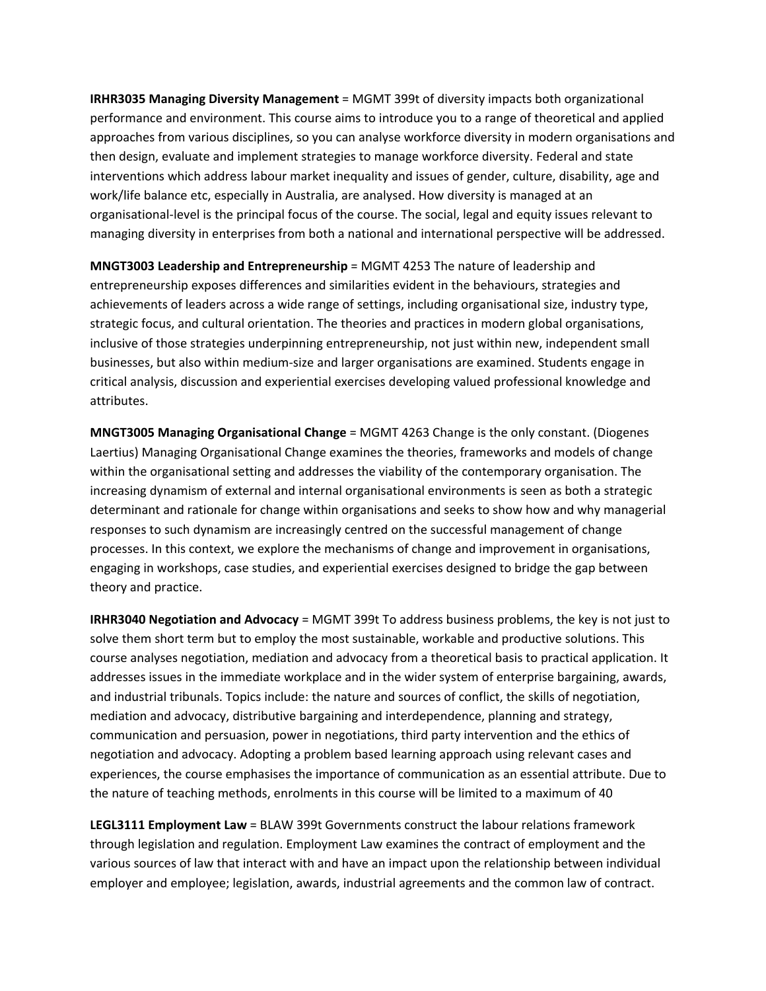**IRHR3035 Managing Diversity Management** = MGMT 399t of diversity impacts both organizational performance and environment. This course aims to introduce you to a range of theoretical and applied approaches from various disciplines, so you can analyse workforce diversity in modern organisations and then design, evaluate and implement strategies to manage workforce diversity. Federal and state interventions which address labour market inequality and issues of gender, culture, disability, age and work/life balance etc, especially in Australia, are analysed. How diversity is managed at an organisational‐level is the principal focus of the course. The social, legal and equity issues relevant to managing diversity in enterprises from both a national and international perspective will be addressed.

**MNGT3003 Leadership and Entrepreneurship** = MGMT 4253 The nature of leadership and entrepreneurship exposes differences and similarities evident in the behaviours, strategies and achievements of leaders across a wide range of settings, including organisational size, industry type, strategic focus, and cultural orientation. The theories and practices in modern global organisations, inclusive of those strategies underpinning entrepreneurship, not just within new, independent small businesses, but also within medium‐size and larger organisations are examined. Students engage in critical analysis, discussion and experiential exercises developing valued professional knowledge and attributes.

**MNGT3005 Managing Organisational Change** = MGMT 4263 Change is the only constant. (Diogenes Laertius) Managing Organisational Change examines the theories, frameworks and models of change within the organisational setting and addresses the viability of the contemporary organisation. The increasing dynamism of external and internal organisational environments is seen as both a strategic determinant and rationale for change within organisations and seeks to show how and why managerial responses to such dynamism are increasingly centred on the successful management of change processes. In this context, we explore the mechanisms of change and improvement in organisations, engaging in workshops, case studies, and experiential exercises designed to bridge the gap between theory and practice.

**IRHR3040 Negotiation and Advocacy** = MGMT 399t To address business problems, the key is not just to solve them short term but to employ the most sustainable, workable and productive solutions. This course analyses negotiation, mediation and advocacy from a theoretical basis to practical application. It addresses issues in the immediate workplace and in the wider system of enterprise bargaining, awards, and industrial tribunals. Topics include: the nature and sources of conflict, the skills of negotiation, mediation and advocacy, distributive bargaining and interdependence, planning and strategy, communication and persuasion, power in negotiations, third party intervention and the ethics of negotiation and advocacy. Adopting a problem based learning approach using relevant cases and experiences, the course emphasises the importance of communication as an essential attribute. Due to the nature of teaching methods, enrolments in this course will be limited to a maximum of 40

**LEGL3111 Employment Law** = BLAW 399t Governments construct the labour relations framework through legislation and regulation. Employment Law examines the contract of employment and the various sources of law that interact with and have an impact upon the relationship between individual employer and employee; legislation, awards, industrial agreements and the common law of contract.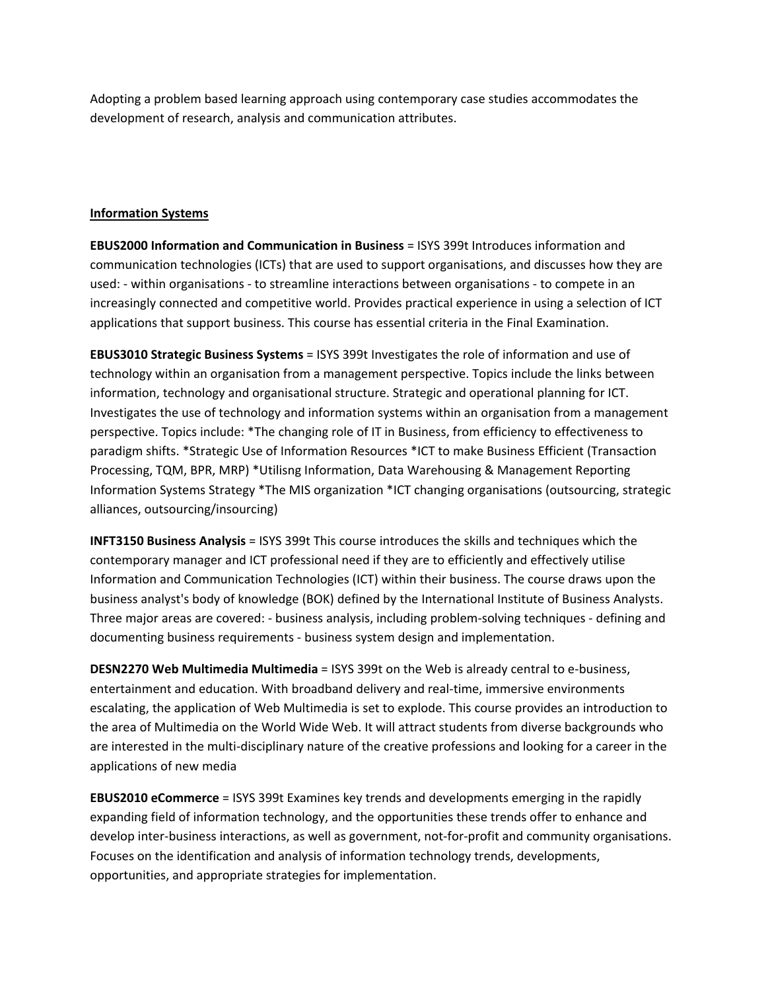Adopting a problem based learning approach using contemporary case studies accommodates the development of research, analysis and communication attributes.

# **Information Systems**

**EBUS2000 Information and Communication in Business** = ISYS 399t Introduces information and communication technologies (ICTs) that are used to support organisations, and discusses how they are used: ‐ within organisations ‐ to streamline interactions between organisations ‐ to compete in an increasingly connected and competitive world. Provides practical experience in using a selection of ICT applications that support business. This course has essential criteria in the Final Examination.

**EBUS3010 Strategic Business Systems** = ISYS 399t Investigates the role of information and use of technology within an organisation from a management perspective. Topics include the links between information, technology and organisational structure. Strategic and operational planning for ICT. Investigates the use of technology and information systems within an organisation from a management perspective. Topics include: \*The changing role of IT in Business, from efficiency to effectiveness to paradigm shifts. \*Strategic Use of Information Resources \*ICT to make Business Efficient (Transaction Processing, TQM, BPR, MRP) \*Utilisng Information, Data Warehousing & Management Reporting Information Systems Strategy \*The MIS organization \*ICT changing organisations (outsourcing, strategic alliances, outsourcing/insourcing)

**INFT3150 Business Analysis** = ISYS 399t This course introduces the skills and techniques which the contemporary manager and ICT professional need if they are to efficiently and effectively utilise Information and Communication Technologies (ICT) within their business. The course draws upon the business analyst's body of knowledge (BOK) defined by the International Institute of Business Analysts. Three major areas are covered: ‐ business analysis, including problem‐solving techniques ‐ defining and documenting business requirements ‐ business system design and implementation.

**DESN2270 Web Multimedia Multimedia** = ISYS 399t on the Web is already central to e‐business, entertainment and education. With broadband delivery and real-time, immersive environments escalating, the application of Web Multimedia is set to explode. This course provides an introduction to the area of Multimedia on the World Wide Web. It will attract students from diverse backgrounds who are interested in the multi‐disciplinary nature of the creative professions and looking for a career in the applications of new media

**EBUS2010 eCommerce** = ISYS 399t Examines key trends and developments emerging in the rapidly expanding field of information technology, and the opportunities these trends offer to enhance and develop inter‐business interactions, as well as government, not‐for‐profit and community organisations. Focuses on the identification and analysis of information technology trends, developments, opportunities, and appropriate strategies for implementation.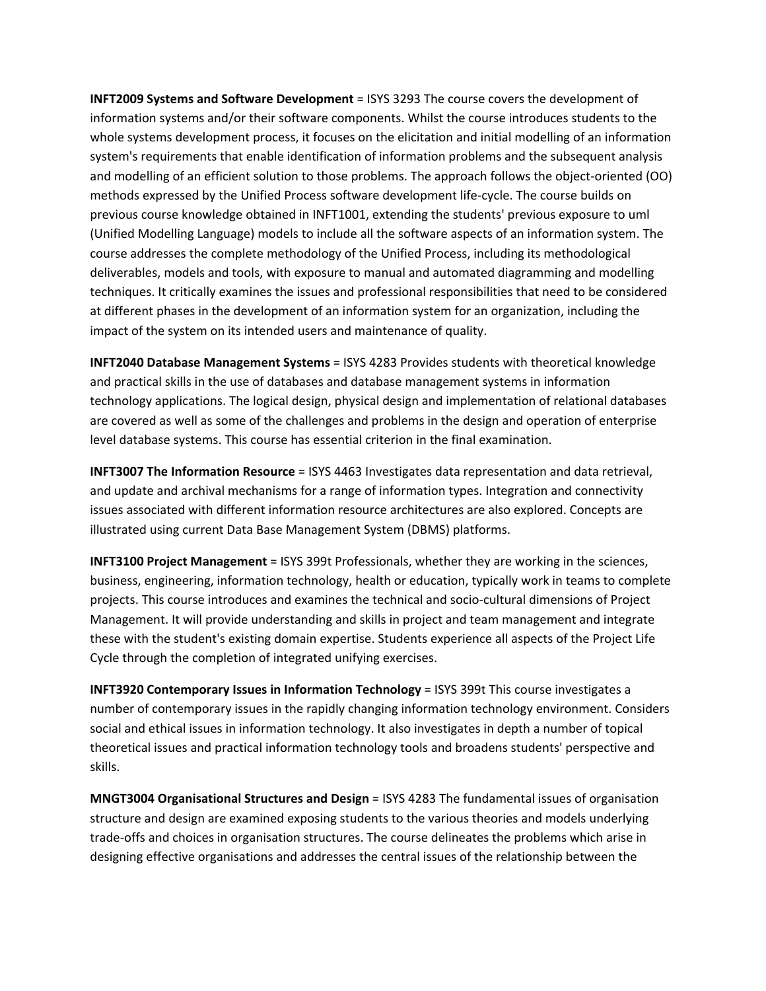**INFT2009 Systems and Software Development** = ISYS 3293 The course covers the development of information systems and/or their software components. Whilst the course introduces students to the whole systems development process, it focuses on the elicitation and initial modelling of an information system's requirements that enable identification of information problems and the subsequent analysis and modelling of an efficient solution to those problems. The approach follows the object‐oriented (OO) methods expressed by the Unified Process software development life‐cycle. The course builds on previous course knowledge obtained in INFT1001, extending the students' previous exposure to uml (Unified Modelling Language) models to include all the software aspects of an information system. The course addresses the complete methodology of the Unified Process, including its methodological deliverables, models and tools, with exposure to manual and automated diagramming and modelling techniques. It critically examines the issues and professional responsibilities that need to be considered at different phases in the development of an information system for an organization, including the impact of the system on its intended users and maintenance of quality.

**INFT2040 Database Management Systems** = ISYS 4283 Provides students with theoretical knowledge and practical skills in the use of databases and database management systems in information technology applications. The logical design, physical design and implementation of relational databases are covered as well as some of the challenges and problems in the design and operation of enterprise level database systems. This course has essential criterion in the final examination.

**INFT3007 The Information Resource** = ISYS 4463 Investigates data representation and data retrieval, and update and archival mechanisms for a range of information types. Integration and connectivity issues associated with different information resource architectures are also explored. Concepts are illustrated using current Data Base Management System (DBMS) platforms.

**INFT3100 Project Management** = ISYS 399t Professionals, whether they are working in the sciences, business, engineering, information technology, health or education, typically work in teams to complete projects. This course introduces and examines the technical and socio‐cultural dimensions of Project Management. It will provide understanding and skills in project and team management and integrate these with the student's existing domain expertise. Students experience all aspects of the Project Life Cycle through the completion of integrated unifying exercises.

**INFT3920 Contemporary Issues in Information Technology** = ISYS 399t This course investigates a number of contemporary issues in the rapidly changing information technology environment. Considers social and ethical issues in information technology. It also investigates in depth a number of topical theoretical issues and practical information technology tools and broadens students' perspective and skills.

**MNGT3004 Organisational Structures and Design** = ISYS 4283 The fundamental issues of organisation structure and design are examined exposing students to the various theories and models underlying trade‐offs and choices in organisation structures. The course delineates the problems which arise in designing effective organisations and addresses the central issues of the relationship between the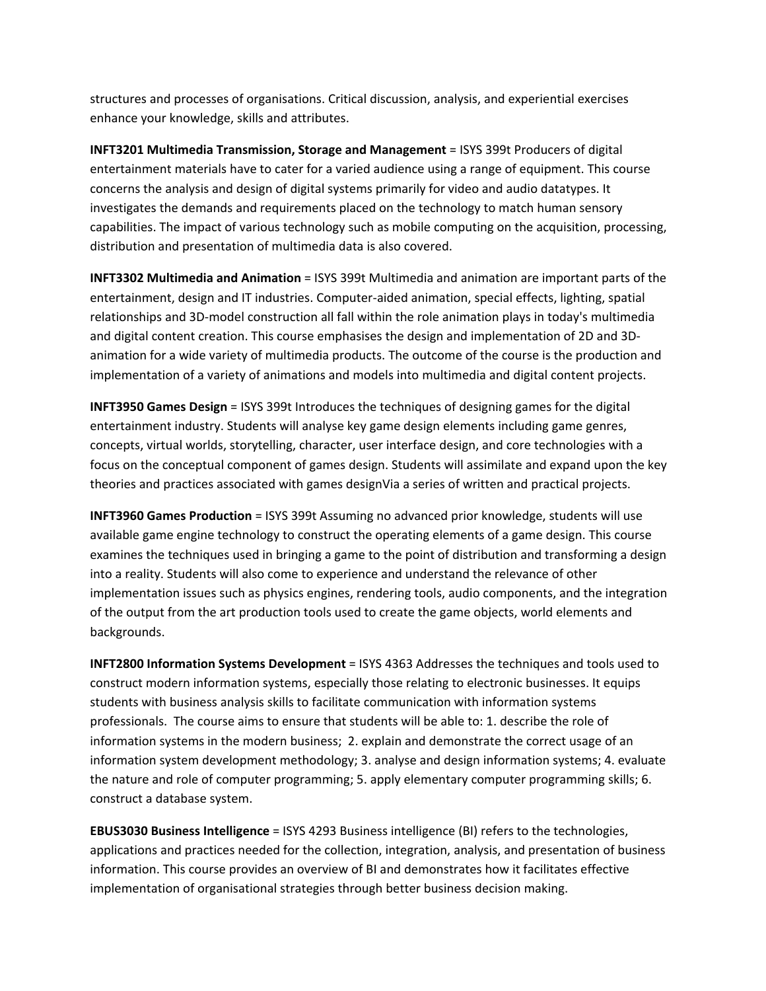structures and processes of organisations. Critical discussion, analysis, and experiential exercises enhance your knowledge, skills and attributes.

**INFT3201 Multimedia Transmission, Storage and Management** = ISYS 399t Producers of digital entertainment materials have to cater for a varied audience using a range of equipment. This course concerns the analysis and design of digital systems primarily for video and audio datatypes. It investigates the demands and requirements placed on the technology to match human sensory capabilities. The impact of various technology such as mobile computing on the acquisition, processing, distribution and presentation of multimedia data is also covered.

**INFT3302 Multimedia and Animation** = ISYS 399t Multimedia and animation are important parts of the entertainment, design and IT industries. Computer‐aided animation, special effects, lighting, spatial relationships and 3D‐model construction all fall within the role animation plays in today's multimedia and digital content creation. This course emphasises the design and implementation of 2D and 3D‐ animation for a wide variety of multimedia products. The outcome of the course is the production and implementation of a variety of animations and models into multimedia and digital content projects.

**INFT3950 Games Design** = ISYS 399t Introduces the techniques of designing games for the digital entertainment industry. Students will analyse key game design elements including game genres, concepts, virtual worlds, storytelling, character, user interface design, and core technologies with a focus on the conceptual component of games design. Students will assimilate and expand upon the key theories and practices associated with games designVia a series of written and practical projects.

**INFT3960 Games Production** = ISYS 399t Assuming no advanced prior knowledge, students will use available game engine technology to construct the operating elements of a game design. This course examines the techniques used in bringing a game to the point of distribution and transforming a design into a reality. Students will also come to experience and understand the relevance of other implementation issues such as physics engines, rendering tools, audio components, and the integration of the output from the art production tools used to create the game objects, world elements and backgrounds.

**INFT2800 Information Systems Development** = ISYS 4363 Addresses the techniques and tools used to construct modern information systems, especially those relating to electronic businesses. It equips students with business analysis skills to facilitate communication with information systems professionals. The course aims to ensure that students will be able to: 1. describe the role of information systems in the modern business; 2. explain and demonstrate the correct usage of an information system development methodology; 3. analyse and design information systems; 4. evaluate the nature and role of computer programming; 5. apply elementary computer programming skills; 6. construct a database system.

**EBUS3030 Business Intelligence** = ISYS 4293 Business intelligence (BI) refers to the technologies, applications and practices needed for the collection, integration, analysis, and presentation of business information. This course provides an overview of BI and demonstrates how it facilitates effective implementation of organisational strategies through better business decision making.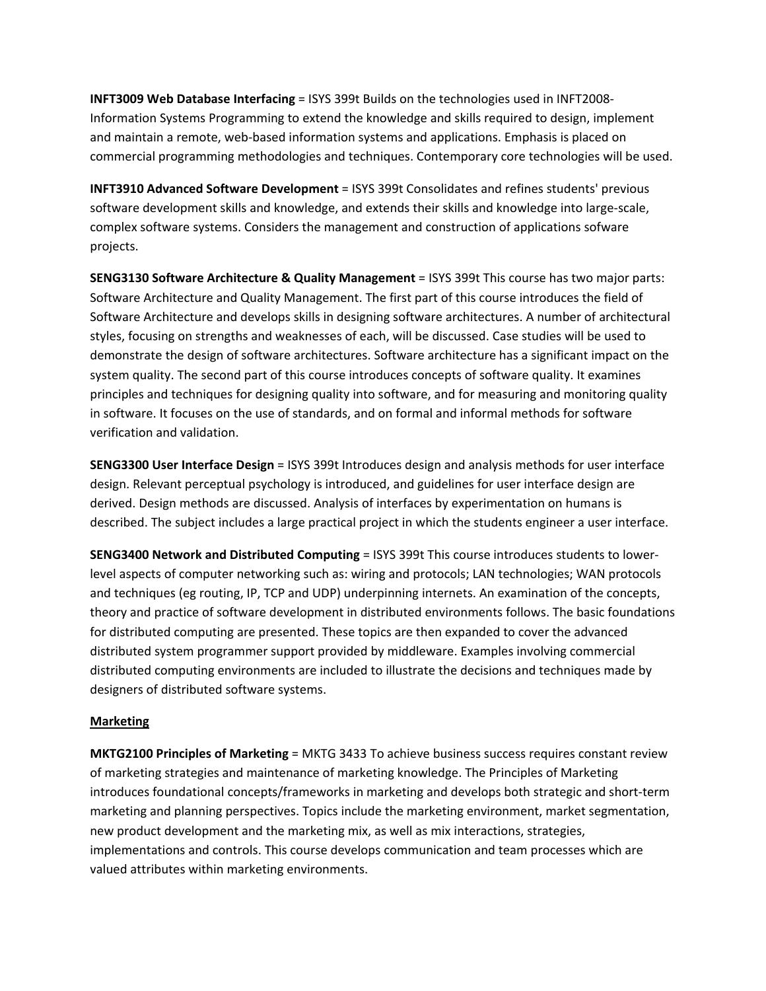**INFT3009 Web Database Interfacing** = ISYS 399t Builds on the technologies used in INFT2008‐ Information Systems Programming to extend the knowledge and skills required to design, implement and maintain a remote, web-based information systems and applications. Emphasis is placed on commercial programming methodologies and techniques. Contemporary core technologies will be used.

**INFT3910 Advanced Software Development** = ISYS 399t Consolidates and refines students' previous software development skills and knowledge, and extends their skills and knowledge into large‐scale, complex software systems. Considers the management and construction of applications sofware projects.

**SENG3130 Software Architecture & Quality Management** = ISYS 399t This course has two major parts: Software Architecture and Quality Management. The first part of this course introduces the field of Software Architecture and develops skills in designing software architectures. A number of architectural styles, focusing on strengths and weaknesses of each, will be discussed. Case studies will be used to demonstrate the design of software architectures. Software architecture has a significant impact on the system quality. The second part of this course introduces concepts of software quality. It examines principles and techniques for designing quality into software, and for measuring and monitoring quality in software. It focuses on the use of standards, and on formal and informal methods for software verification and validation.

**SENG3300 User Interface Design** = ISYS 399t Introduces design and analysis methods for user interface design. Relevant perceptual psychology is introduced, and guidelines for user interface design are derived. Design methods are discussed. Analysis of interfaces by experimentation on humans is described. The subject includes a large practical project in which the students engineer a user interface.

**SENG3400 Network and Distributed Computing** = ISYS 399t This course introduces students to lower‐ level aspects of computer networking such as: wiring and protocols; LAN technologies; WAN protocols and techniques (eg routing, IP, TCP and UDP) underpinning internets. An examination of the concepts, theory and practice of software development in distributed environments follows. The basic foundations for distributed computing are presented. These topics are then expanded to cover the advanced distributed system programmer support provided by middleware. Examples involving commercial distributed computing environments are included to illustrate the decisions and techniques made by designers of distributed software systems.

## **Marketing**

**MKTG2100 Principles of Marketing** = MKTG 3433 To achieve business success requires constant review of marketing strategies and maintenance of marketing knowledge. The Principles of Marketing introduces foundational concepts/frameworks in marketing and develops both strategic and short‐term marketing and planning perspectives. Topics include the marketing environment, market segmentation, new product development and the marketing mix, as well as mix interactions, strategies, implementations and controls. This course develops communication and team processes which are valued attributes within marketing environments.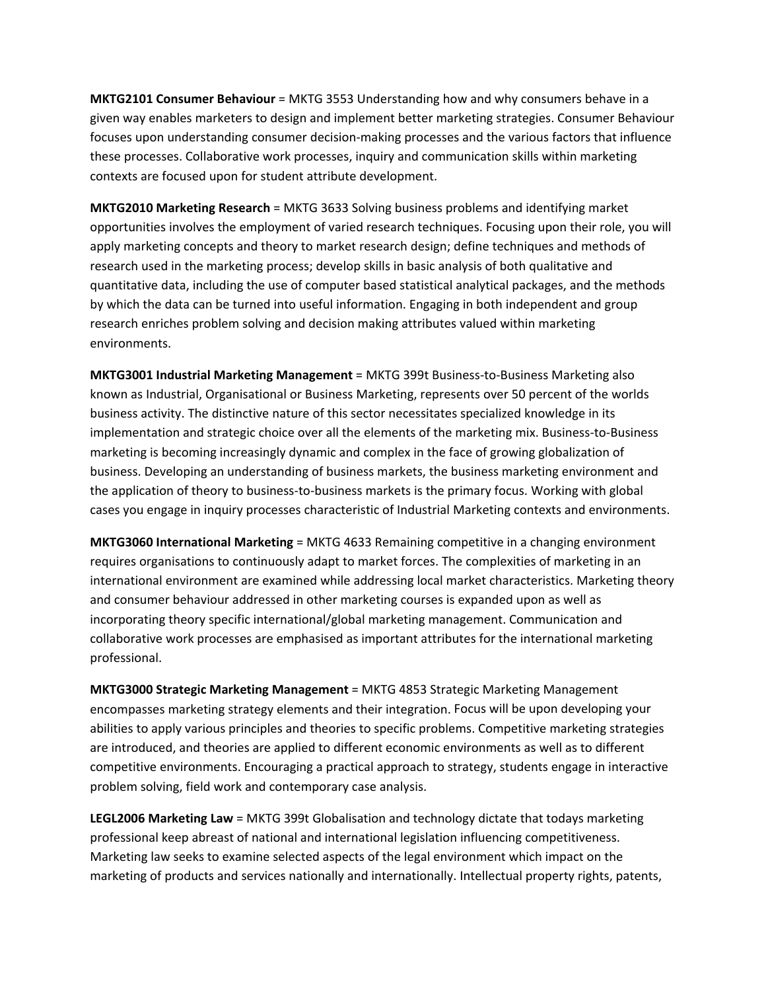**MKTG2101 Consumer Behaviour** = MKTG 3553 Understanding how and why consumers behave in a given way enables marketers to design and implement better marketing strategies. Consumer Behaviour focuses upon understanding consumer decision‐making processes and the various factors that influence these processes. Collaborative work processes, inquiry and communication skills within marketing contexts are focused upon for student attribute development.

**MKTG2010 Marketing Research** = MKTG 3633 Solving business problems and identifying market opportunities involves the employment of varied research techniques. Focusing upon their role, you will apply marketing concepts and theory to market research design; define techniques and methods of research used in the marketing process; develop skills in basic analysis of both qualitative and quantitative data, including the use of computer based statistical analytical packages, and the methods by which the data can be turned into useful information. Engaging in both independent and group research enriches problem solving and decision making attributes valued within marketing environments.

**MKTG3001 Industrial Marketing Management** = MKTG 399t Business‐to‐Business Marketing also known as Industrial, Organisational or Business Marketing, represents over 50 percent of the worlds business activity. The distinctive nature of this sector necessitates specialized knowledge in its implementation and strategic choice over all the elements of the marketing mix. Business‐to‐Business marketing is becoming increasingly dynamic and complex in the face of growing globalization of business. Developing an understanding of business markets, the business marketing environment and the application of theory to business‐to‐business markets is the primary focus. Working with global cases you engage in inquiry processes characteristic of Industrial Marketing contexts and environments.

**MKTG3060 International Marketing** = MKTG 4633 Remaining competitive in a changing environment requires organisations to continuously adapt to market forces. The complexities of marketing in an international environment are examined while addressing local market characteristics. Marketing theory and consumer behaviour addressed in other marketing courses is expanded upon as well as incorporating theory specific international/global marketing management. Communication and collaborative work processes are emphasised as important attributes for the international marketing professional.

**MKTG3000 Strategic Marketing Management** = MKTG 4853 Strategic Marketing Management encompasses marketing strategy elements and their integration. Focus will be upon developing your abilities to apply various principles and theories to specific problems. Competitive marketing strategies are introduced, and theories are applied to different economic environments as well as to different competitive environments. Encouraging a practical approach to strategy, students engage in interactive problem solving, field work and contemporary case analysis.

**LEGL2006 Marketing Law** = MKTG 399t Globalisation and technology dictate that todays marketing professional keep abreast of national and international legislation influencing competitiveness. Marketing law seeks to examine selected aspects of the legal environment which impact on the marketing of products and services nationally and internationally. Intellectual property rights, patents,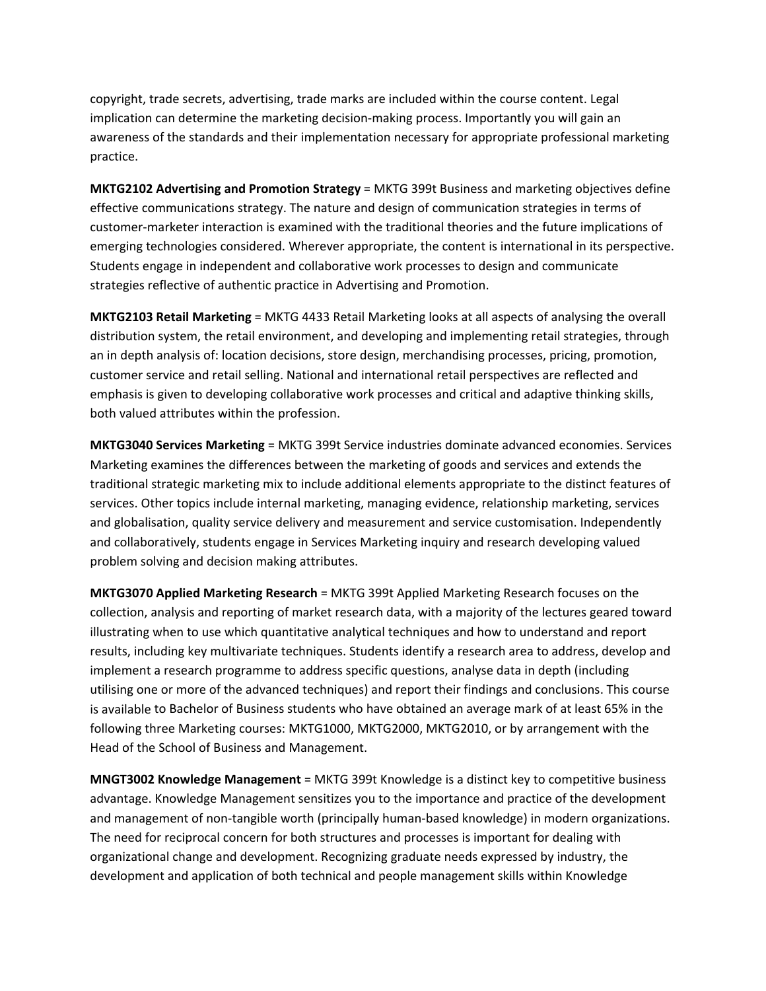copyright, trade secrets, advertising, trade marks are included within the course content. Legal implication can determine the marketing decision-making process. Importantly you will gain an awareness of the standards and their implementation necessary for appropriate professional marketing practice.

**MKTG2102 Advertising and Promotion Strategy** = MKTG 399t Business and marketing objectives define effective communications strategy. The nature and design of communication strategies in terms of customer‐marketer interaction is examined with the traditional theories and the future implications of emerging technologies considered. Wherever appropriate, the content is international in its perspective. Students engage in independent and collaborative work processes to design and communicate strategies reflective of authentic practice in Advertising and Promotion.

**MKTG2103 Retail Marketing** = MKTG 4433 Retail Marketing looks at all aspects of analysing the overall distribution system, the retail environment, and developing and implementing retail strategies, through an in depth analysis of: location decisions, store design, merchandising processes, pricing, promotion, customer service and retail selling. National and international retail perspectives are reflected and emphasis is given to developing collaborative work processes and critical and adaptive thinking skills, both valued attributes within the profession.

**MKTG3040 Services Marketing** = MKTG 399t Service industries dominate advanced economies. Services Marketing examines the differences between the marketing of goods and services and extends the traditional strategic marketing mix to include additional elements appropriate to the distinct features of services. Other topics include internal marketing, managing evidence, relationship marketing, services and globalisation, quality service delivery and measurement and service customisation. Independently and collaboratively, students engage in Services Marketing inquiry and research developing valued problem solving and decision making attributes.

**MKTG3070 Applied Marketing Research** = MKTG 399t Applied Marketing Research focuses on the collection, analysis and reporting of market research data, with a majority of the lectures geared toward illustrating when to use which quantitative analytical techniques and how to understand and report results, including key multivariate techniques. Students identify a research area to address, develop and implement a research programme to address specific questions, analyse data in depth (including utilising one or more of the advanced techniques) and report their findings and conclusions. This course is available to Bachelor of Business students who have obtained an average mark of at least 65% in the following three Marketing courses: MKTG1000, MKTG2000, MKTG2010, or by arrangement with the Head of the School of Business and Management.

**MNGT3002 Knowledge Management** = MKTG 399t Knowledge is a distinct key to competitive business advantage. Knowledge Management sensitizes you to the importance and practice of the development and management of non-tangible worth (principally human-based knowledge) in modern organizations. The need for reciprocal concern for both structures and processes is important for dealing with organizational change and development. Recognizing graduate needs expressed by industry, the development and application of both technical and people management skills within Knowledge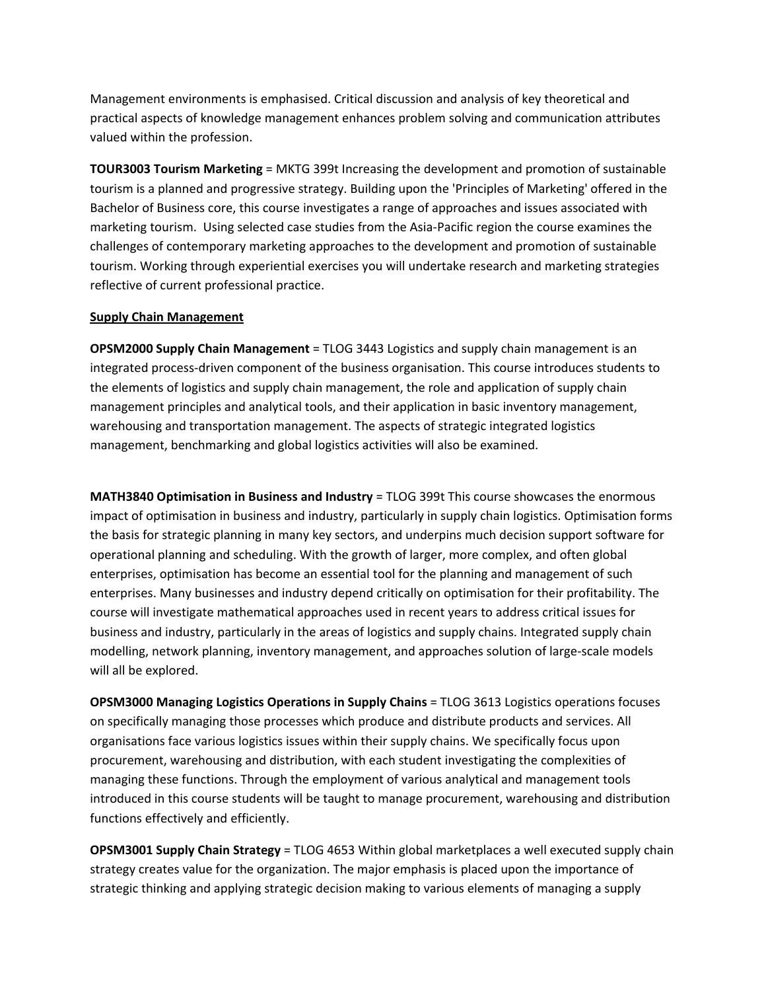Management environments is emphasised. Critical discussion and analysis of key theoretical and practical aspects of knowledge management enhances problem solving and communication attributes valued within the profession.

**TOUR3003 Tourism Marketing** = MKTG 399t Increasing the development and promotion of sustainable tourism is a planned and progressive strategy. Building upon the 'Principles of Marketing' offered in the Bachelor of Business core, this course investigates a range of approaches and issues associated with marketing tourism. Using selected case studies from the Asia‐Pacific region the course examines the challenges of contemporary marketing approaches to the development and promotion of sustainable tourism. Working through experiential exercises you will undertake research and marketing strategies reflective of current professional practice.

### **Supply Chain Management**

**OPSM2000 Supply Chain Management** = TLOG 3443 Logistics and supply chain management is an integrated process‐driven component of the business organisation. This course introduces students to the elements of logistics and supply chain management, the role and application of supply chain management principles and analytical tools, and their application in basic inventory management, warehousing and transportation management. The aspects of strategic integrated logistics management, benchmarking and global logistics activities will also be examined.

**MATH3840 Optimisation in Business and Industry** = TLOG 399t This course showcases the enormous impact of optimisation in business and industry, particularly in supply chain logistics. Optimisation forms the basis for strategic planning in many key sectors, and underpins much decision support software for operational planning and scheduling. With the growth of larger, more complex, and often global enterprises, optimisation has become an essential tool for the planning and management of such enterprises. Many businesses and industry depend critically on optimisation for their profitability. The course will investigate mathematical approaches used in recent years to address critical issues for business and industry, particularly in the areas of logistics and supply chains. Integrated supply chain modelling, network planning, inventory management, and approaches solution of large‐scale models will all be explored.

**OPSM3000 Managing Logistics Operations in Supply Chains** = TLOG 3613 Logistics operations focuses on specifically managing those processes which produce and distribute products and services. All organisations face various logistics issues within their supply chains. We specifically focus upon procurement, warehousing and distribution, with each student investigating the complexities of managing these functions. Through the employment of various analytical and management tools introduced in this course students will be taught to manage procurement, warehousing and distribution functions effectively and efficiently.

**OPSM3001 Supply Chain Strategy** = TLOG 4653 Within global marketplaces a well executed supply chain strategy creates value for the organization. The major emphasis is placed upon the importance of strategic thinking and applying strategic decision making to various elements of managing a supply